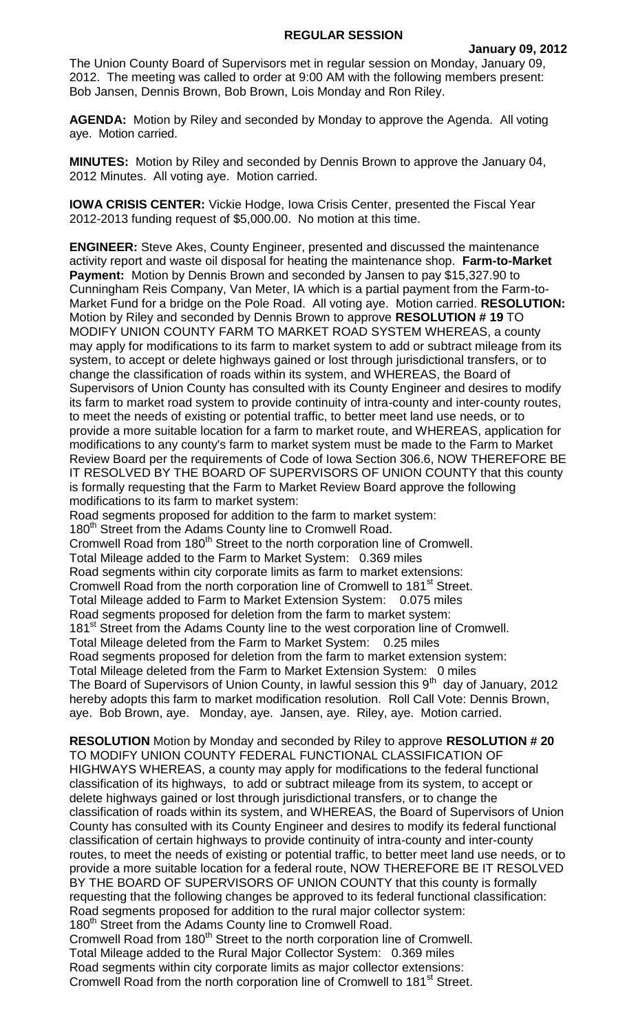## **REGULAR SESSION**

The Union County Board of Supervisors met in regular session on Monday, January 09, 2012. The meeting was called to order at 9:00 AM with the following members present: Bob Jansen, Dennis Brown, Bob Brown, Lois Monday and Ron Riley.

**AGENDA:** Motion by Riley and seconded by Monday to approve the Agenda. All voting aye. Motion carried.

**MINUTES:** Motion by Riley and seconded by Dennis Brown to approve the January 04, 2012 Minutes. All voting aye. Motion carried.

**IOWA CRISIS CENTER:** Vickie Hodge, Iowa Crisis Center, presented the Fiscal Year 2012-2013 funding request of \$5,000.00. No motion at this time.

**ENGINEER:** Steve Akes, County Engineer, presented and discussed the maintenance activity report and waste oil disposal for heating the maintenance shop. **Farm-to-Market Payment:** Motion by Dennis Brown and seconded by Jansen to pay \$15,327.90 to Cunningham Reis Company, Van Meter, IA which is a partial payment from the Farm-to-Market Fund for a bridge on the Pole Road. All voting aye. Motion carried. **RESOLUTION:**  Motion by Riley and seconded by Dennis Brown to approve **RESOLUTION # 19** TO MODIFY UNION COUNTY FARM TO MARKET ROAD SYSTEM WHEREAS, a county may apply for modifications to its farm to market system to add or subtract mileage from its system, to accept or delete highways gained or lost through jurisdictional transfers, or to change the classification of roads within its system, and WHEREAS, the Board of Supervisors of Union County has consulted with its County Engineer and desires to modify its farm to market road system to provide continuity of intra-county and inter-county routes, to meet the needs of existing or potential traffic, to better meet land use needs, or to provide a more suitable location for a farm to market route, and WHEREAS, application for modifications to any county's farm to market system must be made to the Farm to Market Review Board per the requirements of Code of Iowa Section 306.6, NOW THEREFORE BE IT RESOLVED BY THE BOARD OF SUPERVISORS OF UNION COUNTY that this county is formally requesting that the Farm to Market Review Board approve the following modifications to its farm to market system:

Road segments proposed for addition to the farm to market system:

180<sup>th</sup> Street from the Adams County line to Cromwell Road.

Cromwell Road from 180th Street to the north corporation line of Cromwell. Total Mileage added to the Farm to Market System: 0.369 miles Road segments within city corporate limits as farm to market extensions: Cromwell Road from the north corporation line of Cromwell to 181<sup>st</sup> Street. Total Mileage added to Farm to Market Extension System: 0.075 miles Road segments proposed for deletion from the farm to market system: 181<sup>st</sup> Street from the Adams County line to the west corporation line of Cromwell. Total Mileage deleted from the Farm to Market System: 0.25 miles Road segments proposed for deletion from the farm to market extension system: Total Mileage deleted from the Farm to Market Extension System: 0 miles The Board of Supervisors of Union County, in lawful session this  $9<sup>th</sup>$  day of January, 2012 hereby adopts this farm to market modification resolution. Roll Call Vote: Dennis Brown, aye. Bob Brown, aye. Monday, aye. Jansen, aye. Riley, aye. Motion carried.

**RESOLUTION** Motion by Monday and seconded by Riley to approve **RESOLUTION # 20**  TO MODIFY UNION COUNTY FEDERAL FUNCTIONAL CLASSIFICATION OF HIGHWAYS WHEREAS, a county may apply for modifications to the federal functional classification of its highways, to add or subtract mileage from its system, to accept or delete highways gained or lost through jurisdictional transfers, or to change the classification of roads within its system, and WHEREAS, the Board of Supervisors of Union County has consulted with its County Engineer and desires to modify its federal functional classification of certain highways to provide continuity of intra-county and inter-county routes, to meet the needs of existing or potential traffic, to better meet land use needs, or to provide a more suitable location for a federal route, NOW THEREFORE BE IT RESOLVED BY THE BOARD OF SUPERVISORS OF UNION COUNTY that this county is formally requesting that the following changes be approved to its federal functional classification: Road segments proposed for addition to the rural major collector system: 180<sup>th</sup> Street from the Adams County line to Cromwell Road. Cromwell Road from 180<sup>th</sup> Street to the north corporation line of Cromwell. Total Mileage added to the Rural Major Collector System: 0.369 miles Road segments within city corporate limits as major collector extensions: Cromwell Road from the north corporation line of Cromwell to 181<sup>st</sup> Street.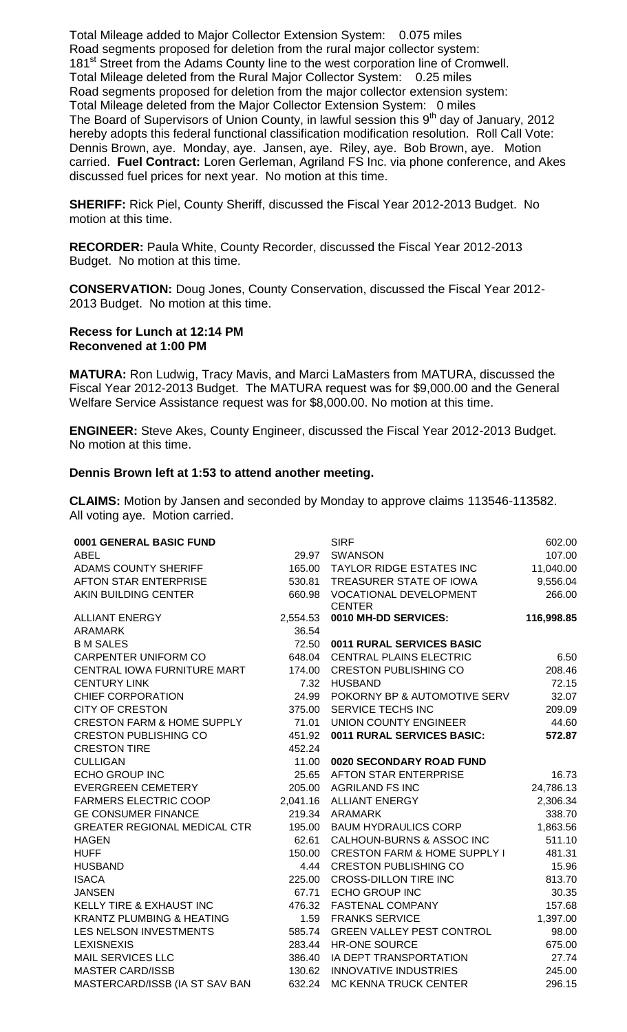Total Mileage added to Major Collector Extension System: 0.075 miles Road segments proposed for deletion from the rural major collector system: 181<sup>st</sup> Street from the Adams County line to the west corporation line of Cromwell. Total Mileage deleted from the Rural Major Collector System: 0.25 miles Road segments proposed for deletion from the major collector extension system: Total Mileage deleted from the Major Collector Extension System: 0 miles The Board of Supervisors of Union County, in lawful session this 9<sup>th</sup> day of January, 2012 hereby adopts this federal functional classification modification resolution. Roll Call Vote: Dennis Brown, aye. Monday, aye. Jansen, aye. Riley, aye. Bob Brown, aye. Motion carried. **Fuel Contract:** Loren Gerleman, Agriland FS Inc. via phone conference, and Akes discussed fuel prices for next year. No motion at this time.

**SHERIFF:** Rick Piel, County Sheriff, discussed the Fiscal Year 2012-2013 Budget. No motion at this time.

**RECORDER:** Paula White, County Recorder, discussed the Fiscal Year 2012-2013 Budget. No motion at this time.

**CONSERVATION:** Doug Jones, County Conservation, discussed the Fiscal Year 2012- 2013 Budget. No motion at this time.

## **Recess for Lunch at 12:14 PM Reconvened at 1:00 PM**

**MATURA:** Ron Ludwig, Tracy Mavis, and Marci LaMasters from MATURA, discussed the Fiscal Year 2012-2013 Budget. The MATURA request was for \$9,000.00 and the General Welfare Service Assistance request was for \$8,000.00. No motion at this time.

**ENGINEER:** Steve Akes, County Engineer, discussed the Fiscal Year 2012-2013 Budget. No motion at this time.

## **Dennis Brown left at 1:53 to attend another meeting.**

**CLAIMS:** Motion by Jansen and seconded by Monday to approve claims 113546-113582. All voting aye. Motion carried.

| 0001 GENERAL BASIC FUND               |          | <b>SIRF</b>                                    | 602.00     |
|---------------------------------------|----------|------------------------------------------------|------------|
| <b>ABEL</b>                           | 29.97    | <b>SWANSON</b>                                 | 107.00     |
| <b>ADAMS COUNTY SHERIFF</b>           | 165.00   | TAYLOR RIDGE ESTATES INC                       | 11,040.00  |
| <b>AFTON STAR ENTERPRISE</b>          | 530.81   | TREASURER STATE OF IOWA                        | 9,556.04   |
| AKIN BUILDING CENTER                  | 660.98   | <b>VOCATIONAL DEVELOPMENT</b><br><b>CENTER</b> | 266.00     |
| <b>ALLIANT ENERGY</b>                 | 2,554.53 | 0010 MH-DD SERVICES:                           | 116,998.85 |
| <b>ARAMARK</b>                        | 36.54    |                                                |            |
| <b>B M SALES</b>                      | 72.50    | 0011 RURAL SERVICES BASIC                      |            |
| <b>CARPENTER UNIFORM CO</b>           | 648.04   | <b>CENTRAL PLAINS ELECTRIC</b>                 | 6.50       |
| CENTRAL IOWA FURNITURE MART           | 174.00   | <b>CRESTON PUBLISHING CO</b>                   | 208.46     |
| <b>CENTURY LINK</b>                   | 7.32     | <b>HUSBAND</b>                                 | 72.15      |
| CHIEF CORPORATION                     | 24.99    | POKORNY BP & AUTOMOTIVE SERV                   | 32.07      |
| <b>CITY OF CRESTON</b>                | 375.00   | SERVICE TECHS INC                              | 209.09     |
| <b>CRESTON FARM &amp; HOME SUPPLY</b> | 71.01    | <b>UNION COUNTY ENGINEER</b>                   | 44.60      |
| <b>CRESTON PUBLISHING CO</b>          | 451.92   | 0011 RURAL SERVICES BASIC:                     | 572.87     |
| <b>CRESTON TIRE</b>                   | 452.24   |                                                |            |
| <b>CULLIGAN</b>                       | 11.00    | 0020 SECONDARY ROAD FUND                       |            |
| <b>ECHO GROUP INC</b>                 | 25.65    | <b>AFTON STAR ENTERPRISE</b>                   | 16.73      |
| <b>EVERGREEN CEMETERY</b>             | 205.00   | <b>AGRILAND FS INC</b>                         | 24,786.13  |
| <b>FARMERS ELECTRIC COOP</b>          | 2,041.16 | <b>ALLIANT ENERGY</b>                          | 2,306.34   |
| <b>GE CONSUMER FINANCE</b>            | 219.34   | ARAMARK                                        | 338.70     |
| <b>GREATER REGIONAL MEDICAL CTR</b>   | 195.00   | <b>BAUM HYDRAULICS CORP</b>                    | 1,863.56   |
| <b>HAGEN</b>                          | 62.61    | CALHOUN-BURNS & ASSOC INC                      | 511.10     |
| <b>HUFF</b>                           | 150.00   | <b>CRESTON FARM &amp; HOME SUPPLY I</b>        | 481.31     |
| <b>HUSBAND</b>                        | 4.44     | <b>CRESTON PUBLISHING CO</b>                   | 15.96      |
| <b>ISACA</b>                          | 225.00   | <b>CROSS-DILLON TIRE INC</b>                   | 813.70     |
| <b>JANSEN</b>                         | 67.71    | <b>ECHO GROUP INC</b>                          | 30.35      |
| KELLY TIRE & EXHAUST INC              | 476.32   | <b>FASTENAL COMPANY</b>                        | 157.68     |
| <b>KRANTZ PLUMBING &amp; HEATING</b>  | 1.59     | <b>FRANKS SERVICE</b>                          | 1,397.00   |
| LES NELSON INVESTMENTS                | 585.74   | <b>GREEN VALLEY PEST CONTROL</b>               | 98.00      |
| <b>LEXISNEXIS</b>                     | 283.44   | HR-ONE SOURCE                                  | 675.00     |
| <b>MAIL SERVICES LLC</b>              | 386.40   | IA DEPT TRANSPORTATION                         | 27.74      |
| <b>MASTER CARD/ISSB</b>               | 130.62   | <b>INNOVATIVE INDUSTRIES</b>                   | 245.00     |
| MASTERCARD/ISSB (IA ST SAV BAN        | 632.24   | <b>MC KENNA TRUCK CENTER</b>                   | 296.15     |